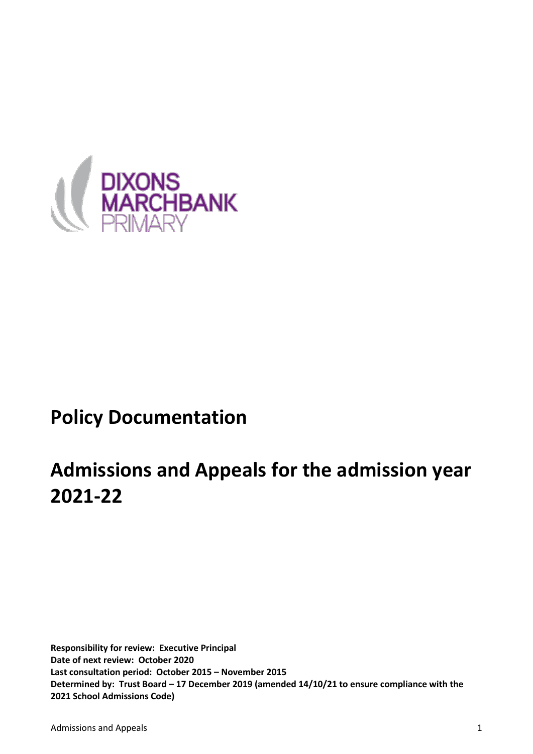

# **Policy Documentation**

# **Admissions and Appeals for the admission year 2021-22**

**Responsibility for review: Executive Principal Date of next review: October 2020 Last consultation period: October 2015 – November 2015 Determined by: Trust Board – 17 December 2019 (amended 14/10/21 to ensure compliance with the 2021 School Admissions Code)**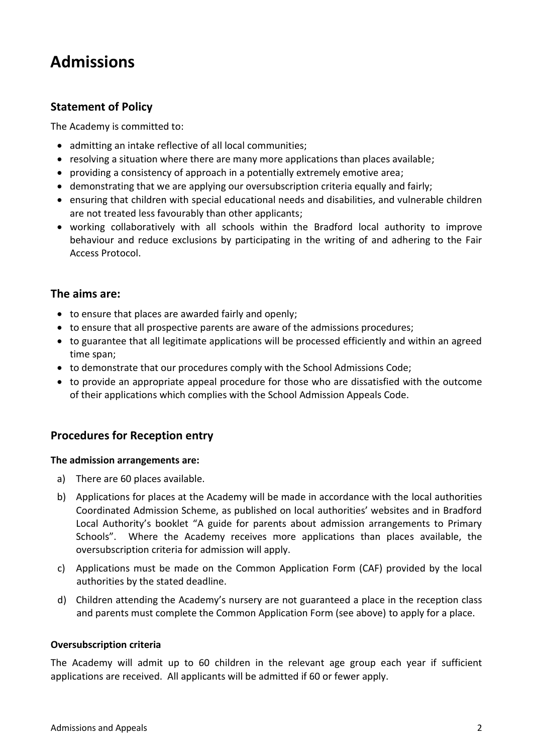# **Admissions**

# **Statement of Policy**

The Academy is committed to:

- admitting an intake reflective of all local communities;
- resolving a situation where there are many more applications than places available;
- providing a consistency of approach in a potentially extremely emotive area;
- demonstrating that we are applying our oversubscription criteria equally and fairly;
- ensuring that children with special educational needs and disabilities, and vulnerable children are not treated less favourably than other applicants;
- working collaboratively with all schools within the Bradford local authority to improve behaviour and reduce exclusions by participating in the writing of and adhering to the Fair Access Protocol.

# **The aims are:**

- to ensure that places are awarded fairly and openly;
- to ensure that all prospective parents are aware of the admissions procedures;
- to guarantee that all legitimate applications will be processed efficiently and within an agreed time span;
- to demonstrate that our procedures comply with the School Admissions Code;
- to provide an appropriate appeal procedure for those who are dissatisfied with the outcome of their applications which complies with the School Admission Appeals Code.

# **Procedures for Reception entry**

#### **The admission arrangements are:**

- a) There are 60 places available.
- b) Applications for places at the Academy will be made in accordance with the local authorities Coordinated Admission Scheme, as published on local authorities' websites and in Bradford Local Authority's booklet "A guide for parents about admission arrangements to Primary Schools". Where the Academy receives more applications than places available, the oversubscription criteria for admission will apply.
- c) Applications must be made on the Common Application Form (CAF) provided by the local authorities by the stated deadline.
- d) Children attending the Academy's nursery are not guaranteed a place in the reception class and parents must complete the Common Application Form (see above) to apply for a place.

#### **Oversubscription criteria**

The Academy will admit up to 60 children in the relevant age group each year if sufficient applications are received. All applicants will be admitted if 60 or fewer apply.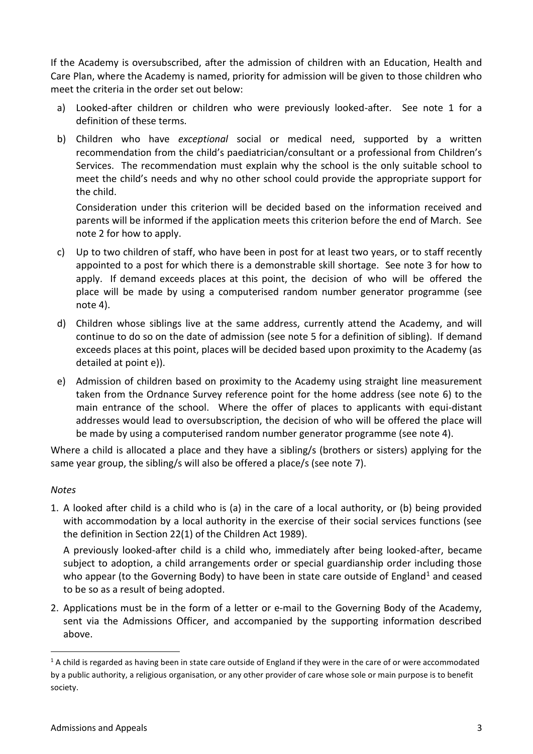If the Academy is oversubscribed, after the admission of children with an Education, Health and Care Plan, where the Academy is named, priority for admission will be given to those children who meet the criteria in the order set out below:

- a) Looked-after children or children who were previously looked-after. See note 1 for a definition of these terms.
- b) Children who have *exceptional* social or medical need, supported by a written recommendation from the child's paediatrician/consultant or a professional from Children's Services. The recommendation must explain why the school is the only suitable school to meet the child's needs and why no other school could provide the appropriate support for the child.

Consideration under this criterion will be decided based on the information received and parents will be informed if the application meets this criterion before the end of March. See note 2 for how to apply.

- c) Up to two children of staff, who have been in post for at least two years, or to staff recently appointed to a post for which there is a demonstrable skill shortage. See note 3 for how to apply. If demand exceeds places at this point, the decision of who will be offered the place will be made by using a computerised random number generator programme (see note 4).
- d) Children whose siblings live at the same address, currently attend the Academy, and will continue to do so on the date of admission (see note 5 for a definition of sibling). If demand exceeds places at this point, places will be decided based upon proximity to the Academy (as detailed at point e)).
- e) Admission of children based on proximity to the Academy using straight line measurement taken from the Ordnance Survey reference point for the home address (see note 6) to the main entrance of the school. Where the offer of places to applicants with equi-distant addresses would lead to oversubscription, the decision of who will be offered the place will be made by using a computerised random number generator programme (see note 4).

Where a child is allocated a place and they have a sibling/s (brothers or sisters) applying for the same year group, the sibling/s will also be offered a place/s (see note 7).

## *Notes*

1. A looked after child is a child who is (a) in the care of a local authority, or (b) being provided with accommodation by a local authority in the exercise of their social services functions (see the definition in Section 22(1) of the Children Act 1989).

A previously looked-after child is a child who, immediately after being looked-after, became subject to adoption, a child arrangements order or special guardianship order including those who appear (to the Governing Body) to have been in state care outside of England<sup>1</sup> and ceased to be so as a result of being adopted.

2. Applications must be in the form of a letter or e-mail to the Governing Body of the Academy, sent via the Admissions Officer, and accompanied by the supporting information described above.

 $1$  A child is regarded as having been in state care outside of England if they were in the care of or were accommodated by a public authority, a religious organisation, or any other provider of care whose sole or main purpose is to benefit society.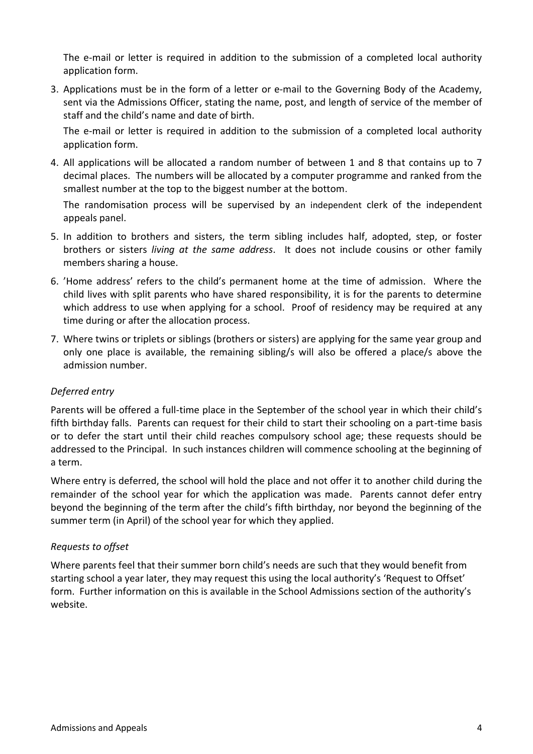The e-mail or letter is required in addition to the submission of a completed local authority application form.

3. Applications must be in the form of a letter or e-mail to the Governing Body of the Academy, sent via the Admissions Officer, stating the name, post, and length of service of the member of staff and the child's name and date of birth.

The e-mail or letter is required in addition to the submission of a completed local authority application form.

4. All applications will be allocated a random number of between 1 and 8 that contains up to 7 decimal places. The numbers will be allocated by a computer programme and ranked from the smallest number at the top to the biggest number at the bottom.

The randomisation process will be supervised by an independent clerk of the independent appeals panel.

- 5. In addition to brothers and sisters, the term sibling includes half, adopted, step, or foster brothers or sisters *living at the same address*. It does not include cousins or other family members sharing a house.
- 6. 'Home address' refers to the child's permanent home at the time of admission. Where the child lives with split parents who have shared responsibility, it is for the parents to determine which address to use when applying for a school. Proof of residency may be required at any time during or after the allocation process.
- 7. Where twins or triplets or siblings (brothers or sisters) are applying for the same year group and only one place is available, the remaining sibling/s will also be offered a place/s above the admission number.

## *Deferred entry*

Parents will be offered a full-time place in the September of the school year in which their child's fifth birthday falls. Parents can request for their child to start their schooling on a part-time basis or to defer the start until their child reaches compulsory school age; these requests should be addressed to the Principal. In such instances children will commence schooling at the beginning of a term.

Where entry is deferred, the school will hold the place and not offer it to another child during the remainder of the school year for which the application was made. Parents cannot defer entry beyond the beginning of the term after the child's fifth birthday, nor beyond the beginning of the summer term (in April) of the school year for which they applied.

#### *Requests to offset*

Where parents feel that their summer born child's needs are such that they would benefit from starting school a year later, they may request this using the local authority's 'Request to Offset' form. Further information on this is available in the School Admissions section of the authority's website.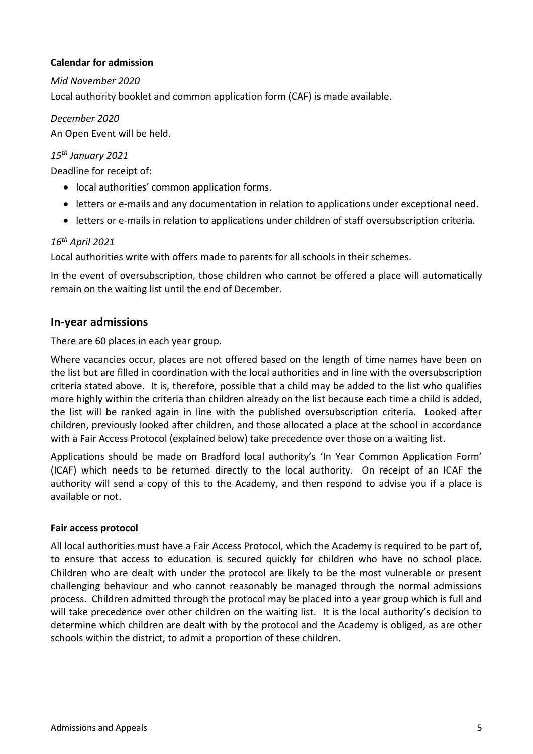#### **Calendar for admission**

*Mid November 2020* Local authority booklet and common application form (CAF) is made available.

*December 2020* An Open Event will be held.

# *15th January 2021*

Deadline for receipt of:

- local authorities' common application forms.
- letters or e-mails and any documentation in relation to applications under exceptional need.
- letters or e-mails in relation to applications under children of staff oversubscription criteria.

## *16th April 2021*

Local authorities write with offers made to parents for all schools in their schemes.

In the event of oversubscription, those children who cannot be offered a place will automatically remain on the waiting list until the end of December.

# **In-year admissions**

There are 60 places in each year group.

Where vacancies occur, places are not offered based on the length of time names have been on the list but are filled in coordination with the local authorities and in line with the oversubscription criteria stated above. It is, therefore, possible that a child may be added to the list who qualifies more highly within the criteria than children already on the list because each time a child is added, the list will be ranked again in line with the published oversubscription criteria. Looked after children, previously looked after children, and those allocated a place at the school in accordance with a Fair Access Protocol (explained below) take precedence over those on a waiting list.

Applications should be made on Bradford local authority's 'In Year Common Application Form' (ICAF) which needs to be returned directly to the local authority. On receipt of an ICAF the authority will send a copy of this to the Academy, and then respond to advise you if a place is available or not.

#### **Fair access protocol**

All local authorities must have a Fair Access Protocol, which the Academy is required to be part of, to ensure that access to education is secured quickly for children who have no school place. Children who are dealt with under the protocol are likely to be the most vulnerable or present challenging behaviour and who cannot reasonably be managed through the normal admissions process. Children admitted through the protocol may be placed into a year group which is full and will take precedence over other children on the waiting list. It is the local authority's decision to determine which children are dealt with by the protocol and the Academy is obliged, as are other schools within the district, to admit a proportion of these children.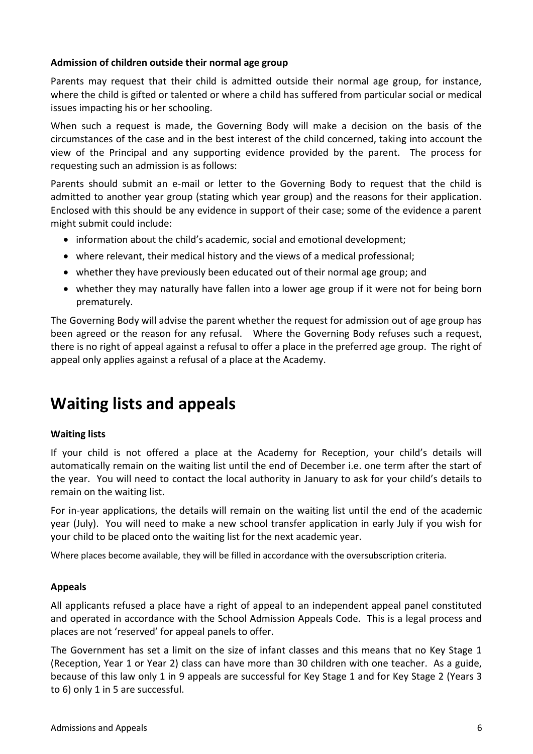#### **Admission of children outside their normal age group**

Parents may request that their child is admitted outside their normal age group, for instance, where the child is gifted or talented or where a child has suffered from particular social or medical issues impacting his or her schooling.

When such a request is made, the Governing Body will make a decision on the basis of the circumstances of the case and in the best interest of the child concerned, taking into account the view of the Principal and any supporting evidence provided by the parent. The process for requesting such an admission is as follows:

Parents should submit an e-mail or letter to the Governing Body to request that the child is admitted to another year group (stating which year group) and the reasons for their application. Enclosed with this should be any evidence in support of their case; some of the evidence a parent might submit could include:

- information about the child's academic, social and emotional development;
- where relevant, their medical history and the views of a medical professional;
- whether they have previously been educated out of their normal age group; and
- whether they may naturally have fallen into a lower age group if it were not for being born prematurely.

The Governing Body will advise the parent whether the request for admission out of age group has been agreed or the reason for any refusal. Where the Governing Body refuses such a request, there is no right of appeal against a refusal to offer a place in the preferred age group. The right of appeal only applies against a refusal of a place at the Academy.

# **Waiting lists and appeals**

## **Waiting lists**

If your child is not offered a place at the Academy for Reception, your child's details will automatically remain on the waiting list until the end of December i.e. one term after the start of the year. You will need to contact the local authority in January to ask for your child's details to remain on the waiting list.

For in-year applications, the details will remain on the waiting list until the end of the academic year (July). You will need to make a new school transfer application in early July if you wish for your child to be placed onto the waiting list for the next academic year.

Where places become available, they will be filled in accordance with the oversubscription criteria.

#### **Appeals**

All applicants refused a place have a right of appeal to an independent appeal panel constituted and operated in accordance with the School Admission Appeals Code. This is a legal process and places are not 'reserved' for appeal panels to offer.

The Government has set a limit on the size of infant classes and this means that no Key Stage 1 (Reception, Year 1 or Year 2) class can have more than 30 children with one teacher. As a guide, because of this law only 1 in 9 appeals are successful for Key Stage 1 and for Key Stage 2 (Years 3 to 6) only 1 in 5 are successful.